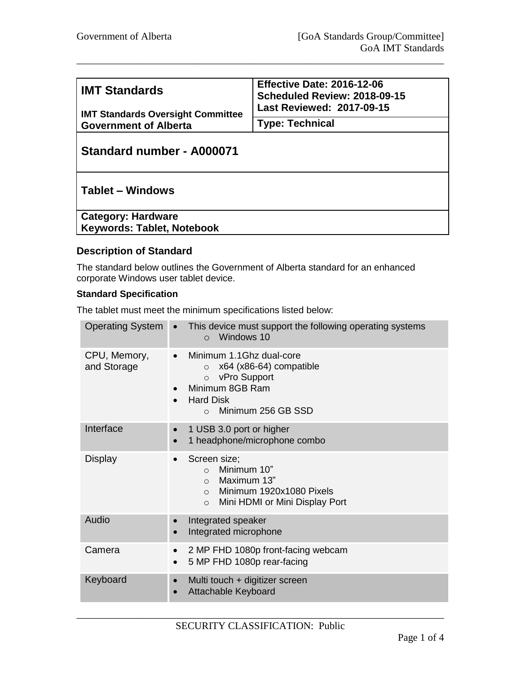| <b>IMT Standards</b>                     | Effective Date: 2016-12-06<br>Scheduled Review: 2018-09-15<br>Last Reviewed: 2017-09-15 |
|------------------------------------------|-----------------------------------------------------------------------------------------|
|                                          |                                                                                         |
| <b>IMT Standards Oversight Committee</b> |                                                                                         |
| <b>Government of Alberta</b>             | <b>Type: Technical</b>                                                                  |
|                                          |                                                                                         |

\_\_\_\_\_\_\_\_\_\_\_\_\_\_\_\_\_\_\_\_\_\_\_\_\_\_\_\_\_\_\_\_\_\_\_\_\_\_\_\_\_\_\_\_\_\_\_\_\_\_\_\_\_\_\_\_\_\_\_\_\_\_\_\_\_\_\_\_\_\_\_\_

# **Standard number - A000071**

## **Tablet – Windows**

**Category: Hardware Keywords: Tablet, Notebook**

### **Description of Standard**

The standard below outlines the Government of Alberta standard for an enhanced corporate Windows user tablet device.

#### **Standard Specification**

The tablet must meet the minimum specifications listed below:

| <b>Operating System</b> •   | This device must support the following operating systems<br>Windows 10<br>$\Omega$                                                                                                   |
|-----------------------------|--------------------------------------------------------------------------------------------------------------------------------------------------------------------------------------|
| CPU, Memory,<br>and Storage | Minimum 1.1Ghz dual-core<br>$\bullet$<br>x64 (x86-64) compatible<br>$\Omega$<br>o vPro Support<br>Minimum 8GB Ram<br><b>Hard Disk</b><br>$\bullet$<br>Minimum 256 GB SSD<br>$\Omega$ |
| Interface                   | 1 USB 3.0 port or higher<br>$\bullet$<br>1 headphone/microphone combo<br>$\bullet$                                                                                                   |
| Display                     | Screen size;<br>$\bullet$<br>Minimum 10"<br>$\Omega$<br>Maximum 13"<br>$\circ$<br>Minimum 1920x1080 Pixels<br>$\circ$<br>Mini HDMI or Mini Display Port<br>$\circ$                   |
| Audio                       | Integrated speaker<br>$\bullet$<br>Integrated microphone<br>$\bullet$                                                                                                                |
| Camera                      | 2 MP FHD 1080p front-facing webcam<br>$\bullet$<br>5 MP FHD 1080p rear-facing<br>$\bullet$                                                                                           |
| Keyboard                    | Multi touch + digitizer screen<br>$\bullet$<br><b>Attachable Keyboard</b><br>$\bullet$                                                                                               |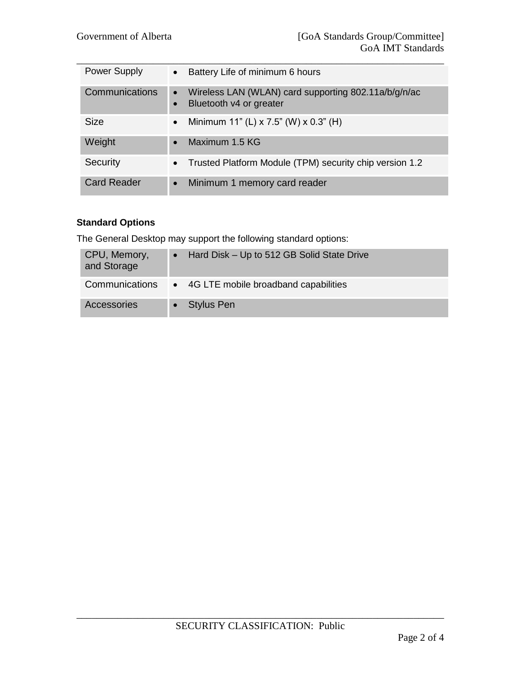| <b>Power Supply</b> | Battery Life of minimum 6 hours<br>$\bullet$                                                 |
|---------------------|----------------------------------------------------------------------------------------------|
| Communications      | Wireless LAN (WLAN) card supporting 802.11a/b/g/n/ac<br>$\bullet$<br>Bluetooth v4 or greater |
| <b>Size</b>         | Minimum 11" (L) x 7.5" (W) x 0.3" (H)<br>$\bullet$                                           |
| Weight              | Maximum 1.5 KG<br>$\bullet$                                                                  |
| Security            | Trusted Platform Module (TPM) security chip version 1.2<br>$\bullet$                         |
| <b>Card Reader</b>  | Minimum 1 memory card reader<br>$\bullet$                                                    |

## **Standard Options**

The General Desktop may support the following standard options:

| CPU, Memory,<br>and Storage | Hard Disk - Up to 512 GB Solid State Drive |
|-----------------------------|--------------------------------------------|
| Communications              | • 4G LTE mobile broadband capabilities     |
| Accessories                 | $\bullet$ Stylus Pen                       |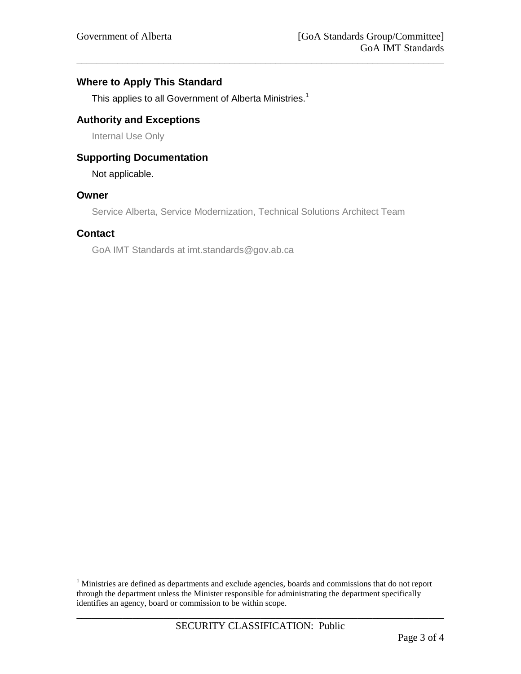### **Where to Apply This Standard**

This applies to all Government of Alberta Ministries.<sup>1</sup>

### **Authority and Exceptions**

Internal Use Only

## **Supporting Documentation**

Not applicable.

#### **Owner**

Service Alberta, Service Modernization, Technical Solutions Architect Team

\_\_\_\_\_\_\_\_\_\_\_\_\_\_\_\_\_\_\_\_\_\_\_\_\_\_\_\_\_\_\_\_\_\_\_\_\_\_\_\_\_\_\_\_\_\_\_\_\_\_\_\_\_\_\_\_\_\_\_\_\_\_\_\_\_\_\_\_\_\_\_\_

#### **Contact**

 $\overline{a}$ 

GoA IMT Standards at imt.standards@gov.ab.ca

 $<sup>1</sup>$  Ministries are defined as departments and exclude agencies, boards and commissions that do not report</sup> through the department unless the Minister responsible for administrating the department specifically identifies an agency, board or commission to be within scope.